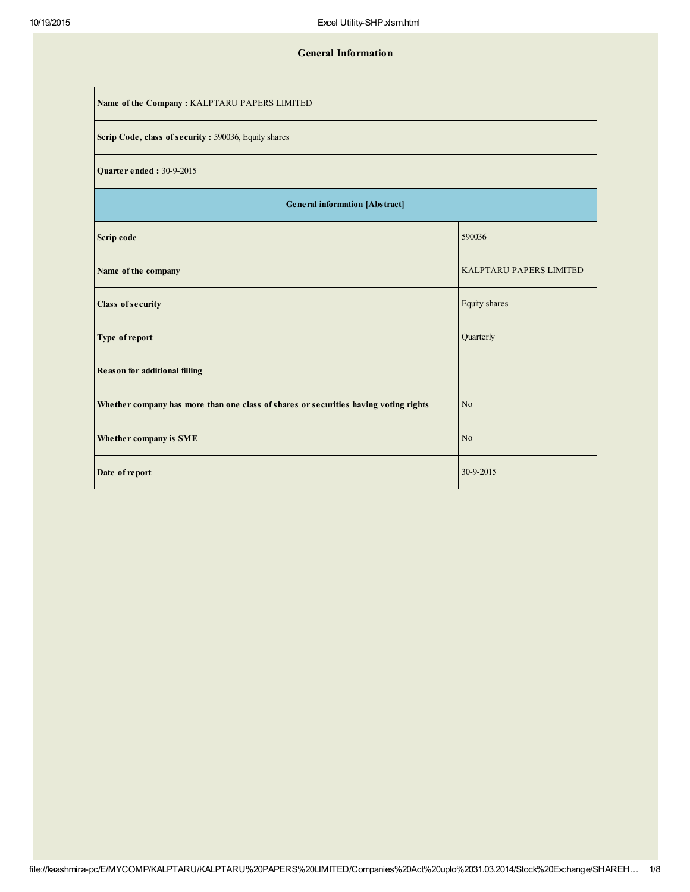## General Information

| Name of the Company: KALPTARU PAPERS LIMITED                                         |                         |  |  |  |  |  |  |  |
|--------------------------------------------------------------------------------------|-------------------------|--|--|--|--|--|--|--|
| Scrip Code, class of security: 590036, Equity shares                                 |                         |  |  |  |  |  |  |  |
| <b>Quarter ended: 30-9-2015</b>                                                      |                         |  |  |  |  |  |  |  |
| <b>General information [Abstract]</b>                                                |                         |  |  |  |  |  |  |  |
| Scrip code                                                                           | 590036                  |  |  |  |  |  |  |  |
| Name of the company                                                                  | KALPTARU PAPERS LIMITED |  |  |  |  |  |  |  |
| <b>Class of security</b>                                                             | Equity shares           |  |  |  |  |  |  |  |
| Type of report                                                                       | Quarterly               |  |  |  |  |  |  |  |
| <b>Reason for additional filling</b>                                                 |                         |  |  |  |  |  |  |  |
| Whether company has more than one class of shares or securities having voting rights | N <sub>o</sub>          |  |  |  |  |  |  |  |
| Whether company is SME                                                               | N <sub>o</sub>          |  |  |  |  |  |  |  |
| Date of report                                                                       | 30-9-2015               |  |  |  |  |  |  |  |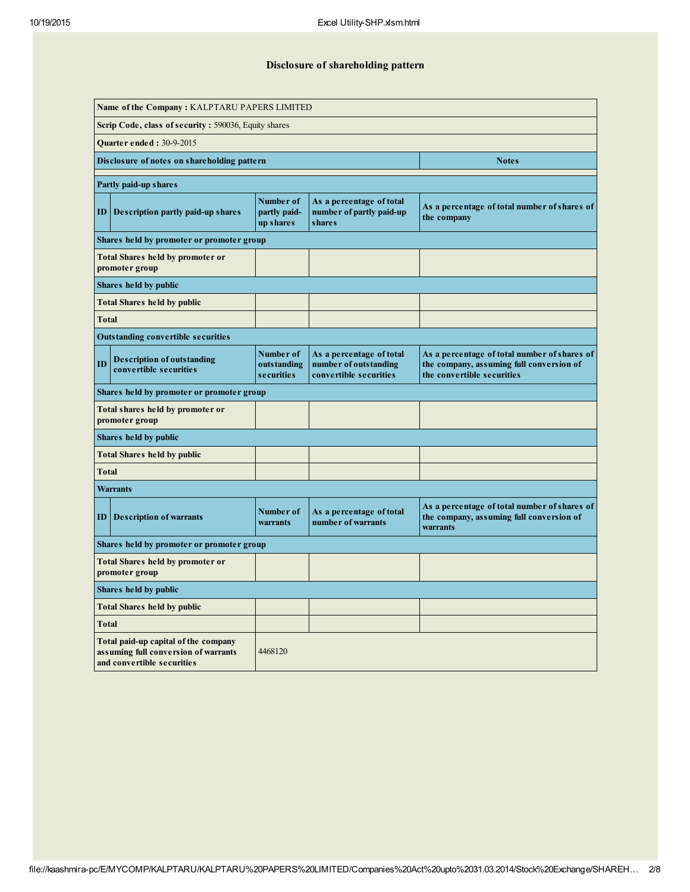# Disclosure of shareholding pattern

| Name of the Company: KALPTARU PAPERS LIMITED |                                                                                                            |                                         |                                                                             |                                                                                                                        |  |  |  |  |  |  |  |
|----------------------------------------------|------------------------------------------------------------------------------------------------------------|-----------------------------------------|-----------------------------------------------------------------------------|------------------------------------------------------------------------------------------------------------------------|--|--|--|--|--|--|--|
|                                              | Scrip Code, class of security: 590036, Equity shares                                                       |                                         |                                                                             |                                                                                                                        |  |  |  |  |  |  |  |
| <b>Ouarter ended: 30-9-2015</b>              |                                                                                                            |                                         |                                                                             |                                                                                                                        |  |  |  |  |  |  |  |
|                                              | Disclosure of notes on shareholding pattern                                                                |                                         |                                                                             | Notes                                                                                                                  |  |  |  |  |  |  |  |
|                                              | Partly paid-up shares                                                                                      |                                         |                                                                             |                                                                                                                        |  |  |  |  |  |  |  |
| ID                                           | Description partly paid-up shares                                                                          | Number of<br>partly paid-<br>up shares  | As a percentage of total<br>number of partly paid-up<br>shares              | As a percentage of total number of shares of<br>the company                                                            |  |  |  |  |  |  |  |
|                                              | Shares held by promoter or promoter group                                                                  |                                         |                                                                             |                                                                                                                        |  |  |  |  |  |  |  |
|                                              | <b>Total Shares held by promoter or</b><br>promoter group                                                  |                                         |                                                                             |                                                                                                                        |  |  |  |  |  |  |  |
|                                              | Shares held by public                                                                                      |                                         |                                                                             |                                                                                                                        |  |  |  |  |  |  |  |
|                                              | <b>Total Shares held by public</b>                                                                         |                                         |                                                                             |                                                                                                                        |  |  |  |  |  |  |  |
| Total                                        |                                                                                                            |                                         |                                                                             |                                                                                                                        |  |  |  |  |  |  |  |
|                                              | <b>Outstanding convertible securities</b>                                                                  |                                         |                                                                             |                                                                                                                        |  |  |  |  |  |  |  |
| ID                                           | <b>Description of outstanding</b><br>convertible securities                                                | Number of<br>outs tanding<br>securities | As a percentage of total<br>number of outstanding<br>convertible securities | As a percentage of total number of shares of<br>the company, assuming full conversion of<br>the convertible securities |  |  |  |  |  |  |  |
|                                              | Shares held by promoter or promoter group                                                                  |                                         |                                                                             |                                                                                                                        |  |  |  |  |  |  |  |
|                                              | Total shares held by promoter or<br>promoter group                                                         |                                         |                                                                             |                                                                                                                        |  |  |  |  |  |  |  |
|                                              | Shares held by public                                                                                      |                                         |                                                                             |                                                                                                                        |  |  |  |  |  |  |  |
|                                              | Total Shares held by public                                                                                |                                         |                                                                             |                                                                                                                        |  |  |  |  |  |  |  |
| Total                                        |                                                                                                            |                                         |                                                                             |                                                                                                                        |  |  |  |  |  |  |  |
|                                              | Warrants                                                                                                   |                                         |                                                                             |                                                                                                                        |  |  |  |  |  |  |  |
| ID                                           | Description of warrants                                                                                    | Number of<br>warrants                   | As a percentage of total<br>number of warrants                              | As a percentage of total number of shares of<br>the company, assuming full conversion of<br>warrants                   |  |  |  |  |  |  |  |
|                                              | Shares held by promoter or promoter group                                                                  |                                         |                                                                             |                                                                                                                        |  |  |  |  |  |  |  |
|                                              | <b>Total Shares held by promoter or</b><br>promoter group                                                  |                                         |                                                                             |                                                                                                                        |  |  |  |  |  |  |  |
|                                              | Shares held by public                                                                                      |                                         |                                                                             |                                                                                                                        |  |  |  |  |  |  |  |
|                                              | <b>Total Shares held by public</b>                                                                         |                                         |                                                                             |                                                                                                                        |  |  |  |  |  |  |  |
| Total                                        |                                                                                                            |                                         |                                                                             |                                                                                                                        |  |  |  |  |  |  |  |
|                                              | Total paid-up capital of the company<br>assuming full conversion of warrants<br>and convertible securities | 4468120                                 |                                                                             |                                                                                                                        |  |  |  |  |  |  |  |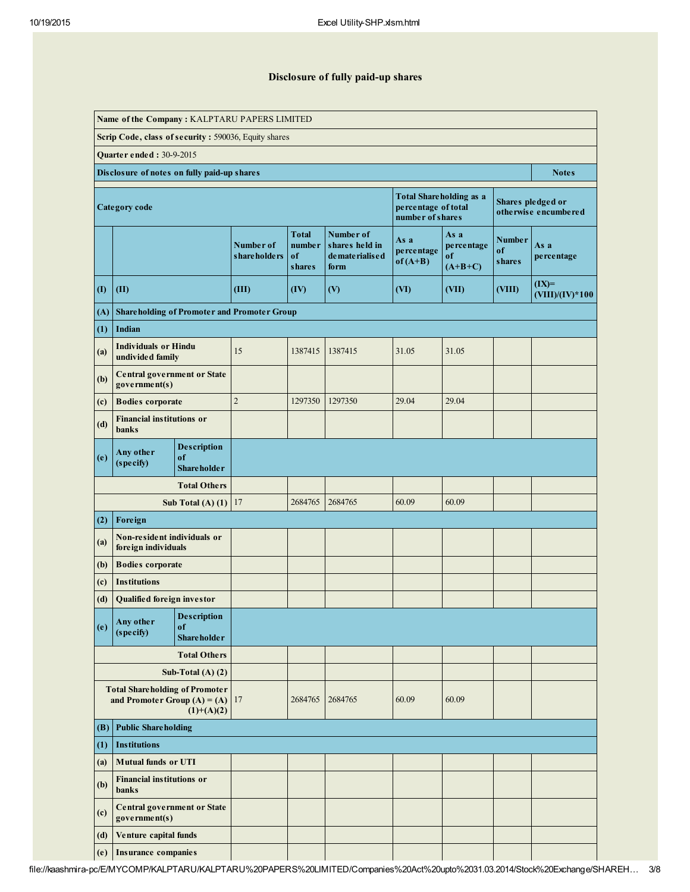## Disclosure of fully paid-up shares

| Name of the Company: KALPTARU PAPERS LIMITED         |                                                                          |                                                |                             |                                               |                                                           |                                                                           |                                       |                                      |                                           |  |  |  |  |
|------------------------------------------------------|--------------------------------------------------------------------------|------------------------------------------------|-----------------------------|-----------------------------------------------|-----------------------------------------------------------|---------------------------------------------------------------------------|---------------------------------------|--------------------------------------|-------------------------------------------|--|--|--|--|
| Scrip Code, class of security: 590036, Equity shares |                                                                          |                                                |                             |                                               |                                                           |                                                                           |                                       |                                      |                                           |  |  |  |  |
| <b>Quarter ended : 30-9-2015</b>                     |                                                                          |                                                |                             |                                               |                                                           |                                                                           |                                       |                                      |                                           |  |  |  |  |
|                                                      | Disclosure of notes on fully paid-up shares<br><b>Notes</b>              |                                                |                             |                                               |                                                           |                                                                           |                                       |                                      |                                           |  |  |  |  |
|                                                      | Category code                                                            |                                                |                             |                                               |                                                           | <b>Total Shareholding as a</b><br>percentage of total<br>number of shares |                                       |                                      | Shares pledged or<br>otherwise encumbered |  |  |  |  |
|                                                      |                                                                          |                                                | Number of<br>s hare holders | <b>Total</b><br>number<br>of<br><b>shares</b> | Number of<br>shares held in<br>de mate rialis e d<br>form | As a<br>percentage<br>$of (A+B)$                                          | As a<br>percentage<br>of<br>$(A+B+C)$ | <b>Number</b><br>of<br><b>shares</b> | As a<br>percentage                        |  |  |  |  |
| $\rm(I)$                                             | (II)                                                                     |                                                | (III)                       | (IV)                                          | (V)                                                       | (VI)                                                                      | (VII)                                 | (VIII)                               | $(IX)=$<br>$(VIII)/(IV)*100$              |  |  |  |  |
| (A)                                                  | <b>Shareholding of Promoter and Promoter Group</b>                       |                                                |                             |                                               |                                                           |                                                                           |                                       |                                      |                                           |  |  |  |  |
| (1)                                                  | <b>Indian</b>                                                            |                                                |                             |                                               |                                                           |                                                                           |                                       |                                      |                                           |  |  |  |  |
| (a)                                                  | <b>Individuals or Hindu</b><br>undivided family                          |                                                | 15                          | 1387415                                       | 1387415                                                   | 31.05                                                                     | 31.05                                 |                                      |                                           |  |  |  |  |
| (b)                                                  | <b>Central government or State</b><br>government(s)                      |                                                |                             |                                               |                                                           |                                                                           |                                       |                                      |                                           |  |  |  |  |
| (c)                                                  | <b>Bodies</b> corporate                                                  |                                                | $\overline{2}$              | 1297350                                       | 1297350                                                   | 29.04                                                                     | 29.04                                 |                                      |                                           |  |  |  |  |
| (d)                                                  | <b>Financial institutions or</b><br>banks                                |                                                |                             |                                               |                                                           |                                                                           |                                       |                                      |                                           |  |  |  |  |
| (e)                                                  | <b>Description</b><br>Any other<br>of<br>(specify)<br><b>Shareholder</b> |                                                |                             |                                               |                                                           |                                                                           |                                       |                                      |                                           |  |  |  |  |
|                                                      |                                                                          | <b>Total Others</b>                            |                             |                                               |                                                           |                                                                           |                                       |                                      |                                           |  |  |  |  |
|                                                      |                                                                          | Sub Total $(A)$ $(1)$                          | 17                          | 2684765                                       | 2684765                                                   | 60.09                                                                     | 60.09                                 |                                      |                                           |  |  |  |  |
| (2)                                                  | Foreign                                                                  |                                                |                             |                                               |                                                           |                                                                           |                                       |                                      |                                           |  |  |  |  |
| (a)                                                  | Non-resident individuals or<br>foreign individuals                       |                                                |                             |                                               |                                                           |                                                                           |                                       |                                      |                                           |  |  |  |  |
| (b)                                                  | <b>Bodies</b> corporate                                                  |                                                |                             |                                               |                                                           |                                                                           |                                       |                                      |                                           |  |  |  |  |
| (c)                                                  | <b>Institutions</b>                                                      |                                                |                             |                                               |                                                           |                                                                           |                                       |                                      |                                           |  |  |  |  |
| (d)                                                  | <b>Qualified foreign investor</b>                                        |                                                |                             |                                               |                                                           |                                                                           |                                       |                                      |                                           |  |  |  |  |
| (e)                                                  | Any other<br>(specify)                                                   | <b>Description</b><br>of<br><b>Shareholder</b> |                             |                                               |                                                           |                                                                           |                                       |                                      |                                           |  |  |  |  |
|                                                      |                                                                          | <b>Total Others</b>                            |                             |                                               |                                                           |                                                                           |                                       |                                      |                                           |  |  |  |  |
|                                                      |                                                                          | Sub-Total $(A)$ $(2)$                          |                             |                                               |                                                           |                                                                           |                                       |                                      |                                           |  |  |  |  |
|                                                      | <b>Total Shareholding of Promoter</b><br>and Promoter Group $(A) = (A)$  | $(1)+(A)(2)$                                   | 17                          | 2684765                                       | 2684765                                                   | 60.09                                                                     | 60.09                                 |                                      |                                           |  |  |  |  |
| (B)                                                  | <b>Public Shareholding</b>                                               |                                                |                             |                                               |                                                           |                                                                           |                                       |                                      |                                           |  |  |  |  |
| (1)                                                  | <b>Institutions</b>                                                      |                                                |                             |                                               |                                                           |                                                                           |                                       |                                      |                                           |  |  |  |  |
| (a)                                                  | <b>Mutual funds or UTI</b>                                               |                                                |                             |                                               |                                                           |                                                                           |                                       |                                      |                                           |  |  |  |  |
| (b)                                                  | <b>Financial institutions or</b><br><b>banks</b>                         |                                                |                             |                                               |                                                           |                                                                           |                                       |                                      |                                           |  |  |  |  |
| (c)                                                  | <b>Central government or State</b><br>government(s)                      |                                                |                             |                                               |                                                           |                                                                           |                                       |                                      |                                           |  |  |  |  |
| (d)                                                  | Venture capital funds                                                    |                                                |                             |                                               |                                                           |                                                                           |                                       |                                      |                                           |  |  |  |  |
| (e)                                                  | <b>Insurance companies</b>                                               |                                                |                             |                                               |                                                           |                                                                           |                                       |                                      |                                           |  |  |  |  |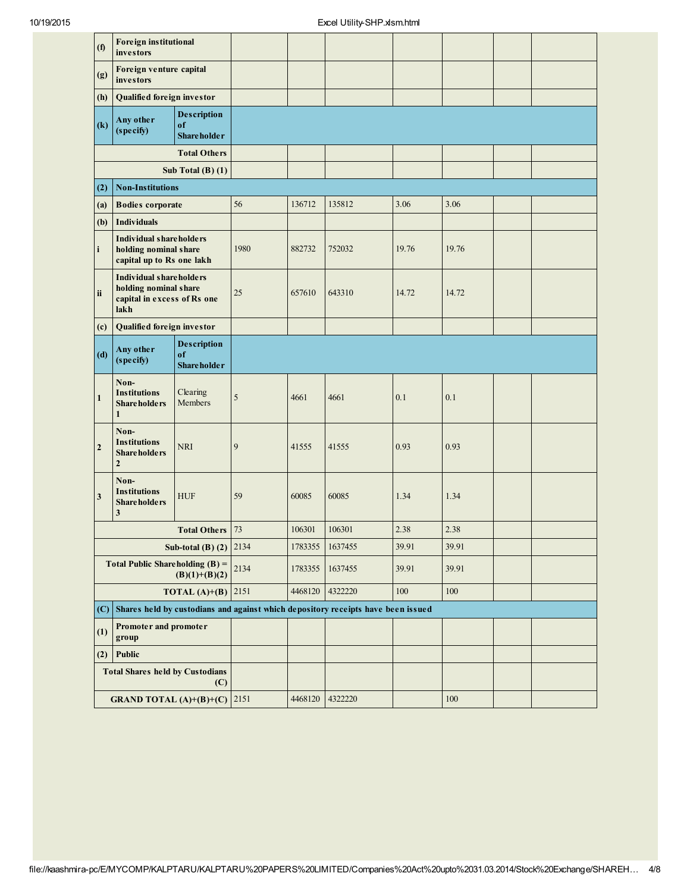| (f)                     | <b>Foreign institutional</b><br>investors                                                      |                                                |         |         |                                                                                  |       |         |  |
|-------------------------|------------------------------------------------------------------------------------------------|------------------------------------------------|---------|---------|----------------------------------------------------------------------------------|-------|---------|--|
| (g)                     | Foreign venture capital<br>investors                                                           |                                                |         |         |                                                                                  |       |         |  |
| (h)                     | <b>Qualified foreign investor</b>                                                              |                                                |         |         |                                                                                  |       |         |  |
| $\left( k\right)$       | Any other<br>(specify)                                                                         | <b>Description</b><br>of<br><b>Shareholder</b> |         |         |                                                                                  |       |         |  |
|                         |                                                                                                | <b>Total Others</b>                            |         |         |                                                                                  |       |         |  |
|                         |                                                                                                | Sub Total $(B)$ $(1)$                          |         |         |                                                                                  |       |         |  |
| (2)                     | <b>Non-Institutions</b>                                                                        |                                                |         |         |                                                                                  |       |         |  |
| (a)                     | <b>Bodies</b> corporate                                                                        |                                                | 56      | 136712  | 135812                                                                           | 3.06  | 3.06    |  |
| (b)                     | <b>Individuals</b>                                                                             |                                                |         |         |                                                                                  |       |         |  |
| $\mathbf i$             | <b>Individual shareholders</b><br>holding nominal share<br>capital up to Rs one lakh           |                                                | 1980    | 882732  | 752032                                                                           | 19.76 | 19.76   |  |
| ii                      | <b>Individual shareholders</b><br>holding nominal share<br>capital in excess of Rs one<br>lakh |                                                | 25      | 657610  | 643310                                                                           | 14.72 | 14.72   |  |
| (c)                     | <b>Qualified foreign investor</b>                                                              |                                                |         |         |                                                                                  |       |         |  |
| (d)                     | Any other<br>(specify)                                                                         | <b>Description</b><br>of<br><b>Shareholder</b> |         |         |                                                                                  |       |         |  |
| $\mathbf{1}$            | Non-<br><b>Institutions</b><br><b>Shareholders</b><br>$\mathbf{1}$                             | Clearing<br>Members                            | 5       | 4661    | 4661                                                                             | 0.1   | 0.1     |  |
| $\overline{2}$          | Non-<br><b>Institutions</b><br><b>Shareholders</b><br>$\mathbf{2}$                             | <b>NRI</b>                                     | 9       | 41555   | 41555                                                                            | 0.93  | 0.93    |  |
| $\overline{\mathbf{3}}$ | Non-<br><b>Institutions</b><br><b>Shareholders</b><br>3                                        | <b>HUF</b>                                     | 59      | 60085   | 60085                                                                            | 1.34  | 1.34    |  |
|                         |                                                                                                | <b>Total Others</b>                            | 73      | 106301  | 106301                                                                           | 2.38  | 2.38    |  |
|                         |                                                                                                | Sub-total (B) $(2)$ 2134                       |         | 1783355 | 1637455                                                                          | 39.91 | 39.91   |  |
|                         | <b>Total Public Shareholding (B) =</b>                                                         | $(B)(1)+(B)(2)$                                | 2134    | 1783355 | 1637455                                                                          | 39.91 | 39.91   |  |
|                         |                                                                                                | <b>TOTAL</b> (A)+(B)  2151                     | 4468120 | 4322220 | 100                                                                              | 100   |         |  |
| (C)                     |                                                                                                |                                                |         |         | Shares held by custodians and against which depository receipts have been issued |       |         |  |
| (1)                     | Promoter and promoter<br>group                                                                 |                                                |         |         |                                                                                  |       |         |  |
| (2)                     | Public                                                                                         |                                                |         |         |                                                                                  |       |         |  |
|                         | <b>Total Shares held by Custodians</b>                                                         | (C)                                            |         |         |                                                                                  |       |         |  |
|                         | <b>GRAND TOTAL</b> (A)+(B)+(C) 2151                                                            |                                                |         | 4468120 | 4322220                                                                          |       | $100\,$ |  |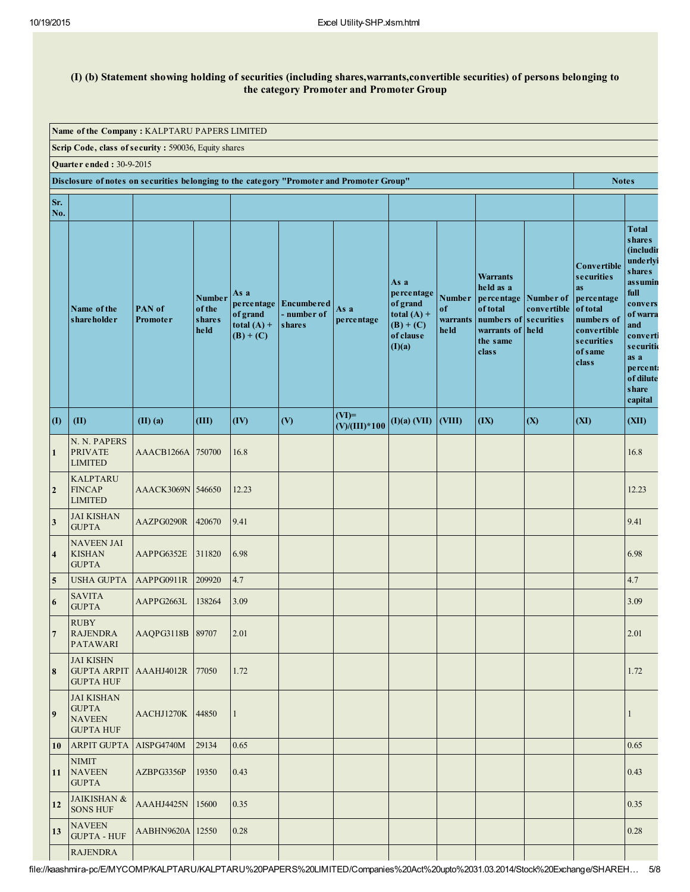#### (I) (b) Statement showing holding of securities (including shares,warrants,convertible securities) of persons belonging to the category Promoter and Promoter Group

| Name of the Company: KALPTARU PAPERS LIMITED |                                                                                                                              |                    |                                                  |                                                                |                                                   |                            |                                                                                       |                                         |                                                                                                                                    |             |                                                                                                                                               |                                                                                                                                                                                                      |
|----------------------------------------------|------------------------------------------------------------------------------------------------------------------------------|--------------------|--------------------------------------------------|----------------------------------------------------------------|---------------------------------------------------|----------------------------|---------------------------------------------------------------------------------------|-----------------------------------------|------------------------------------------------------------------------------------------------------------------------------------|-------------|-----------------------------------------------------------------------------------------------------------------------------------------------|------------------------------------------------------------------------------------------------------------------------------------------------------------------------------------------------------|
|                                              | Scrip Code, class of security: 590036, Equity shares                                                                         |                    |                                                  |                                                                |                                                   |                            |                                                                                       |                                         |                                                                                                                                    |             |                                                                                                                                               |                                                                                                                                                                                                      |
|                                              | <b>Quarter ended: 30-9-2015</b><br>Disclosure of notes on securities belonging to the category "Promoter and Promoter Group" |                    |                                                  |                                                                |                                                   |                            |                                                                                       |                                         |                                                                                                                                    |             |                                                                                                                                               |                                                                                                                                                                                                      |
|                                              |                                                                                                                              |                    |                                                  |                                                                |                                                   |                            |                                                                                       |                                         |                                                                                                                                    |             | <b>Notes</b>                                                                                                                                  |                                                                                                                                                                                                      |
| Sr.<br>No.                                   |                                                                                                                              |                    |                                                  |                                                                |                                                   |                            |                                                                                       |                                         |                                                                                                                                    |             |                                                                                                                                               |                                                                                                                                                                                                      |
|                                              | Name of the<br>shareholder                                                                                                   | PAN of<br>Promoter | <b>Number</b><br>of the<br><b>shares</b><br>held | As a<br>percentage<br>of grand<br>total $(A)$ +<br>$(B) + (C)$ | <b>Encumbered</b><br>- number of<br><b>shares</b> | As a<br>percentage         | As a<br>percentage<br>of grand<br>total $(A)$ +<br>$(B) + (C)$<br>of clause<br>(I)(a) | <b>Number</b><br>of<br>warrants<br>held | <b>Warrants</b><br>held as a<br>percentage Number of<br>of total<br>numbers of securities<br>warrants of held<br>the same<br>class | convertible | <b>Convertible</b><br>securities<br><b>as</b><br>percentage<br>of total<br>numbers of<br>convertible<br>securities<br><b>of</b> same<br>class | <b>Total</b><br><b>shares</b><br>(includin<br>underlyi<br><b>shares</b><br>assumin<br>full<br>convers<br>of warra<br>and<br>converti<br>securiti<br>as a<br>percent<br>of dilute<br>share<br>capital |
| $\mathbf{I}$                                 | (II)                                                                                                                         | $(II)$ $(a)$       | (III)                                            | (IV)                                                           | (V)                                               | $(VI)=$<br>$(V)/(III)*100$ | $(I)(a)$ (VII)                                                                        | $\vert$ (VIII)                          | (IX)                                                                                                                               | (X)         | (XI)                                                                                                                                          | (XII)                                                                                                                                                                                                |
| $\mathbf{1}$                                 | N. N. PAPERS<br><b>PRIVATE</b><br><b>LIMITED</b>                                                                             | AAACB1266A 750700  |                                                  | 16.8                                                           |                                                   |                            |                                                                                       |                                         |                                                                                                                                    |             |                                                                                                                                               | 16.8                                                                                                                                                                                                 |
| $\overline{2}$                               | <b>KALPTARU</b><br><b>FINCAP</b><br><b>LIMITED</b>                                                                           | AAACK3069N 546650  |                                                  | 12.23                                                          |                                                   |                            |                                                                                       |                                         |                                                                                                                                    |             |                                                                                                                                               | 12.23                                                                                                                                                                                                |
| $\overline{\mathbf{3}}$                      | <b>JAI KISHAN</b><br><b>GUPTA</b>                                                                                            | AAZPG0290R         | 420670                                           | 9.41                                                           |                                                   |                            |                                                                                       |                                         |                                                                                                                                    |             |                                                                                                                                               | 9.41                                                                                                                                                                                                 |
| $\overline{\mathbf{4}}$                      | <b>NAVEEN JAI</b><br><b>KISHAN</b><br><b>GUPTA</b>                                                                           | AAPPG6352E         | 311820                                           | 6.98                                                           |                                                   |                            |                                                                                       |                                         |                                                                                                                                    |             |                                                                                                                                               | 6.98                                                                                                                                                                                                 |
| 5                                            | <b>USHA GUPTA</b>                                                                                                            | AAPPG0911R         | 209920                                           | 4.7                                                            |                                                   |                            |                                                                                       |                                         |                                                                                                                                    |             |                                                                                                                                               | 4.7                                                                                                                                                                                                  |
| 6                                            | <b>SAVITA</b><br><b>GUPTA</b>                                                                                                | AAPPG2663L         | 138264                                           | 3.09                                                           |                                                   |                            |                                                                                       |                                         |                                                                                                                                    |             |                                                                                                                                               | 3.09                                                                                                                                                                                                 |
|                                              | <b>RUBY</b><br><b>RAJENDRA</b><br><b>PATAWARI</b>                                                                            | AAQPG3118B 89707   |                                                  | 2.01                                                           |                                                   |                            |                                                                                       |                                         |                                                                                                                                    |             |                                                                                                                                               | 2.01                                                                                                                                                                                                 |
| 8                                            | <b>JAI KISHN</b><br><b>GUPTA ARPIT</b><br><b>GUPTA HUF</b>                                                                   | AAAHJ4012R         | 77050                                            | 1.72                                                           |                                                   |                            |                                                                                       |                                         |                                                                                                                                    |             |                                                                                                                                               | 1.72                                                                                                                                                                                                 |
| 9                                            | <b>JAI KISHAN</b><br><b>GUPTA</b><br><b>NAVEEN</b><br><b>GUPTA HUF</b>                                                       | AACHJ1270K 44850   |                                                  | $\mathbf{1}$                                                   |                                                   |                            |                                                                                       |                                         |                                                                                                                                    |             |                                                                                                                                               | $\mathbf{1}$                                                                                                                                                                                         |
| 10                                           | <b>ARPIT GUPTA</b>                                                                                                           | AISPG4740M         | 29134                                            | 0.65                                                           |                                                   |                            |                                                                                       |                                         |                                                                                                                                    |             |                                                                                                                                               | 0.65                                                                                                                                                                                                 |
| 11                                           | <b>NIMIT</b><br><b>NAVEEN</b><br><b>GUPTA</b>                                                                                | AZBPG3356P         | 19350                                            | 0.43                                                           |                                                   |                            |                                                                                       |                                         |                                                                                                                                    |             |                                                                                                                                               | 0.43                                                                                                                                                                                                 |
| 12                                           | <b>JAIKISHAN &amp;</b><br><b>SONS HUF</b>                                                                                    | AAAHJ4425N         | 15600                                            | 0.35                                                           |                                                   |                            |                                                                                       |                                         |                                                                                                                                    |             |                                                                                                                                               | 0.35                                                                                                                                                                                                 |
| 13                                           | <b>NAVEEN</b><br><b>GUPTA - HUF</b>                                                                                          | AABHN9620A 12550   |                                                  | 0.28                                                           |                                                   |                            |                                                                                       |                                         |                                                                                                                                    |             |                                                                                                                                               | 0.28                                                                                                                                                                                                 |
|                                              | <b>RAJENDRA</b>                                                                                                              |                    |                                                  |                                                                |                                                   |                            |                                                                                       |                                         |                                                                                                                                    |             |                                                                                                                                               |                                                                                                                                                                                                      |

file://kaashmira-pc/E/MYCOMP/KALPTARU/KALPTARU%20PAPERS%20LIMITED/Companies%20Act%20upto%2031.03.2014/Stock%20Exchange/SHAREH… 5/8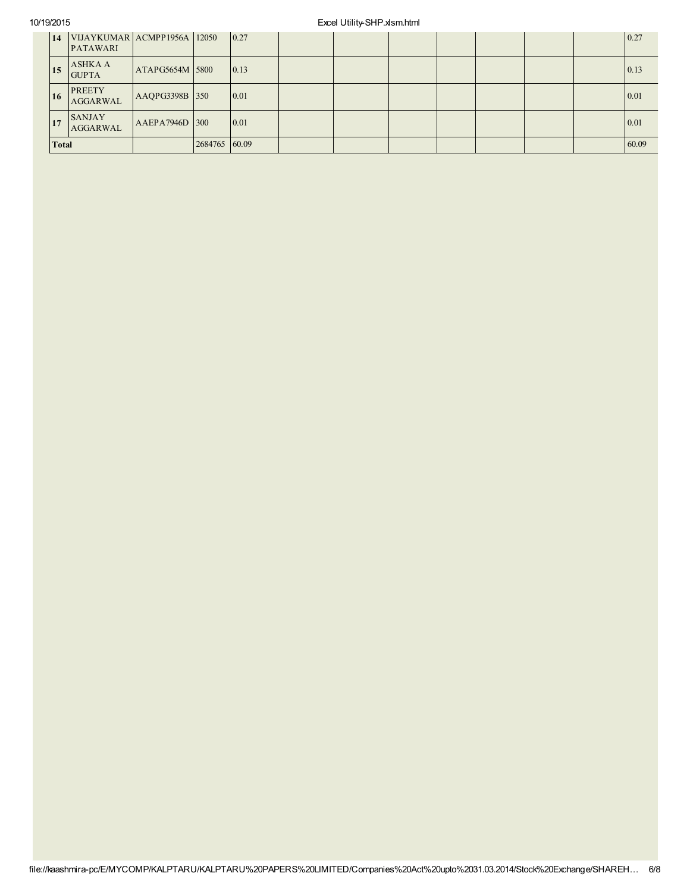## 10/19/2015 Excel Utility-SHP.xlsm.html

| 14           | VIJAYKUMAR ACMPP1956A 12050<br><b>PATAWARI</b> |                 |               | $\vert 0.27 \vert$ |  |  |  | 0.27  |
|--------------|------------------------------------------------|-----------------|---------------|--------------------|--|--|--|-------|
| 15           | <b>ASHKA A</b><br><b>GUPTA</b>                 | ATAPG5654M 5800 |               | 0.13               |  |  |  | 0.13  |
| 16           | <b>PREETY</b><br><b>AGGARWAL</b>               | AAQPG3398B 350  |               | $\mid$ 0.01        |  |  |  | 0.01  |
| 17           | <b>SANJAY</b><br><b>AGGARWAL</b>               | AAEPA7946D 300  |               | 0.01               |  |  |  | 0.01  |
| <b>Total</b> |                                                |                 | 2684765 60.09 |                    |  |  |  | 60.09 |